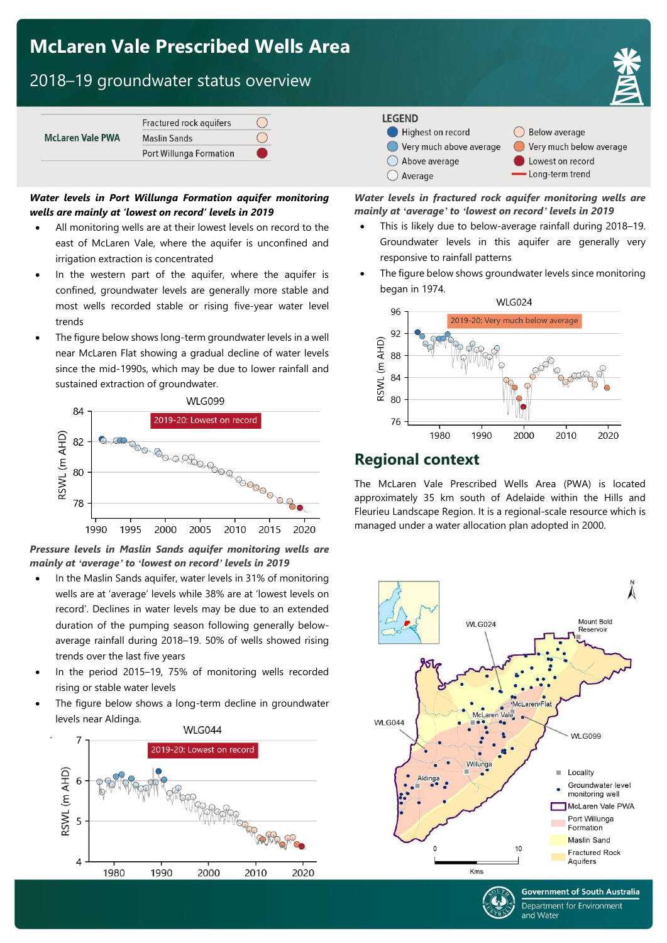# **McLaren Vale Prescribed Wells Area**

# 2018–19 groundwater status overview

| <b>McLaren Vale PWA</b> | Fractured rock aquifers |  |
|-------------------------|-------------------------|--|
|                         | <b>Maslin Sands</b>     |  |
|                         | Port Willunga Formation |  |

#### *Water levels in Port Willunga Formation aquifer monitoring wells are mainly at 'lowest on record' levels in 2019*

- All monitoring wells are at their lowest levels on record to the east of McLaren Vale, where the aquifer is unconfined and irrigation extraction is concentrated
- In the western part of the aquifer, where the aquifer is confined, groundwater levels are generally more stable and most wells recorded stable or rising five-year water level trends
- The figure below shows long-term groundwater levels in a well near McLaren Flat showing a gradual decline of water levels since the mid-1990s, which may be due to lower rainfall and sustained extraction of groundwater.



*Pressure levels in Maslin Sands aquifer monitoring wells are mainly at 'average' to 'lowest on record' levels in 2019*

- In the Maslin Sands aquifer, water levels in 31% of monitoring wells are at 'average' levels while 38% are at 'lowest levels on record'. Declines in water levels may be due to an extended duration of the pumping season following generally belowaverage rainfall during 2018–19. 50% of wells showed rising trends over the last five years
- In the period 2015–19, 75% of monitoring wells recorded rising or stable water levels
- The figure below shows a long-term decline in groundwater levels near Aldinga.

.





◯ Below average Very much below average

> Lowest on record Long-term trend

 $\bigcirc$  Average

#### *Water levels in fractured rock aquifer monitoring wells are mainly at 'average' to 'lowest on record' levels in 2019*

- This is likely due to below-average rainfall during 2018–19. Groundwater levels in this aquifer are generally very responsive to rainfall patterns
- The figure below shows groundwater levels since monitoring began in 1974.



### **Regional context**

The McLaren Vale Prescribed Wells Area (PWA) is located approximately 35 km south of Adelaide within the Hills and Fleurieu Landscape Region. It is a regional-scale resource which is managed under a water allocation plan adopted in 2000.